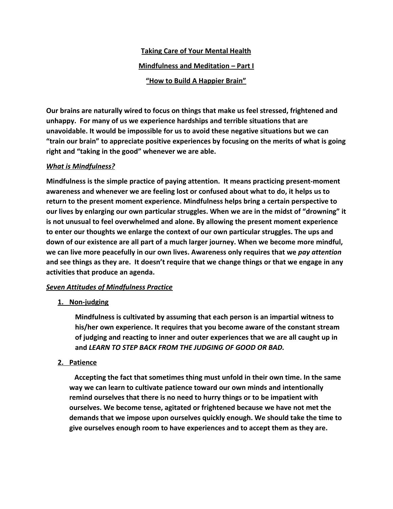# **Taking Care of Your Mental Health Mindfulness and Meditation – Part I "How to Build A Happier Brain"**

**Our brains are naturally wired to focus on things that make us feel stressed, frightened and unhappy. For many of us we experience hardships and terrible situations that are unavoidable. It would be impossible for us to avoid these negative situations but we can "train our brain" to appreciate positive experiences by focusing on the merits of what is going right and "taking in the good" whenever we are able.**

# *What is Mindfulness?*

**Mindfulness is the simple practice of paying attention. It means practicing present-moment awareness and whenever we are feeling lost or confused about what to do, it helps us to return to the present moment experience. Mindfulness helps bring a certain perspective to our lives by enlarging our own particular struggles. When we are in the midst of "drowning" it is not unusual to feel overwhelmed and alone. By allowing the present moment experience to enter our thoughts we enlarge the context of our own particular struggles. The ups and down of our existence are all part of a much larger journey. When we become more mindful, we can live more peacefully in our own lives. Awareness only requires that we** *pay attention* **and see things as they are. It doesn't require that we change things or that we engage in any activities that produce an agenda.**

# *Seven Attitudes of Mindfulness Practice*

# **1. Non-judging**

**Mindfulness is cultivated by assuming that each person is an impartial witness to his/her own experience. It requires that you become aware of the constant stream of judging and reacting to inner and outer experiences that we are all caught up in and** *LEARN TO STEP BACK FROM THE JUDGING OF GOOD OR BAD.*

# **2. Patience**

 **Accepting the fact that sometimes thing must unfold in their own time. In the same way we can learn to cultivate patience toward our own minds and intentionally remind ourselves that there is no need to hurry things or to be impatient with ourselves. We become tense, agitated or frightened because we have not met the demands that we impose upon ourselves quickly enough. We should take the time to give ourselves enough room to have experiences and to accept them as they are.**